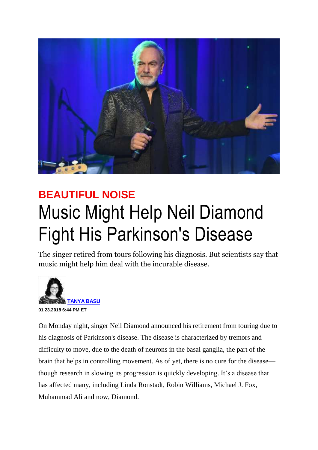

## **BEAUTIFUL NOISE** Music Might Help Neil Diamond Fight His Parkinson's Disease

The singer retired from tours following his diagnosis. But scientists say that music might help him deal with the incurable disease.



On Monday night, singer Neil Diamond announced his retirement from touring due to his diagnosis of [Parkinson's disease.](https://www.thedailybeast.com/keyword/parkinsons-disease) The disease is characterized by tremors and difficulty to move, due to the death of neurons in the basal ganglia, the part of the brain that helps in controlling movement. As of yet, there is no cure for the disease though research in slowing its progression is quickly developing. It's a disease that has affected many, including Linda Ronstadt, Robin Williams, Michael J. Fox, Muhammad Ali and now, Diamond.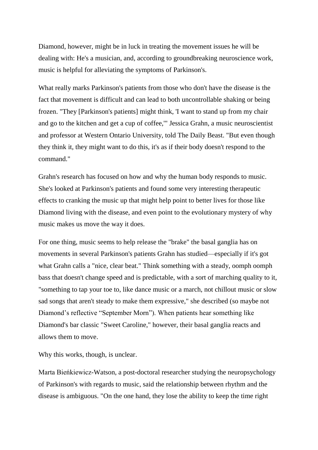Diamond, however, might be in luck in treating the movement issues he will be dealing with: He's a musician, and, according to groundbreaking neuroscience work, music is helpful for alleviating the symptoms of Parkinson's.

What really marks Parkinson's patients from those who don't have the disease is the fact that movement is difficult and can lead to both uncontrollable shaking or being frozen. "They [Parkinson's patients] might think, 'I want to stand up from my chair and go to the kitchen and get a cup of coffee,'" Jessica Grahn, a music neuroscientist and professor at Western Ontario University, told The Daily Beast. "But even though they think it, they might want to do this, it's as if their body doesn't respond to the command."

Grahn's research has focused on how and why the human body responds to music. She's looked at Parkinson's patients and found some very interesting therapeutic effects to cranking the music up that might help point to better lives for those like Diamond living with the disease, and even point to the evolutionary mystery of why music makes us move the way it does.

For one thing, music seems to help release the "brake" the basal ganglia has on movements in several Parkinson's patients Grahn has studied—especially if it's got what Grahn calls a "nice, clear beat." Think something with a steady, oomph oomph bass that doesn't change speed and is predictable, with a sort of marching quality to it, "something to tap your toe to, like dance music or a march, not chillout music or slow sad songs that aren't steady to make them expressive," she described (so maybe not Diamond's reflective "September Morn"). When patients hear something like Diamond's bar classic "Sweet Caroline," however, their basal ganglia reacts and allows them to move.

Why this works, though, is unclear.

Marta Bieńkiewicz-Watson, a post-doctoral researcher studying the neuropsychology of Parkinson's with regards to music, said the relationship between rhythm and the disease is ambiguous. "On the one hand, they lose the ability to keep the time right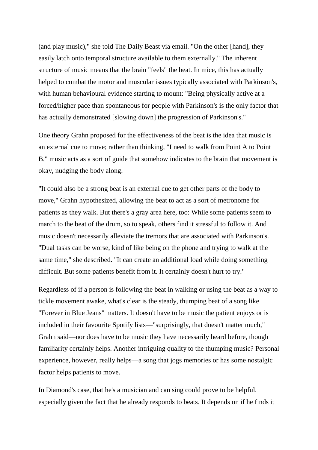(and play music)," she told The Daily Beast via email. "On the other [hand], they easily latch onto temporal structure available to them externally." The inherent structure of music means that the brain "feels" the beat. In mice, this has actually helped to combat the motor and muscular issues typically associated with Parkinson's, with human behavioural evidence starting to mount: "Being physically active at a forced/higher pace than spontaneous for people with Parkinson's is the only factor that has actually demonstrated [slowing down] the progression of Parkinson's."

One theory Grahn proposed for the effectiveness of the beat is the idea that music is an external cue to move; rather than thinking, "I need to walk from Point A to Point B," music acts as a sort of guide that somehow indicates to the brain that movement is okay, nudging the body along.

"It could also be a strong beat is an external cue to get other parts of the body to move," Grahn hypothesized, allowing the beat to act as a sort of metronome for patients as they walk. But there's a gray area here, too: While some patients seem to march to the beat of the drum, so to speak, others find it stressful to follow it. And music doesn't necessarily alleviate the tremors that are associated with Parkinson's. "Dual tasks can be worse, kind of like being on the phone and trying to walk at the same time," she described. "It can create an additional load while doing something difficult. But some patients benefit from it. It certainly doesn't hurt to try."

Regardless of if a person is following the beat in walking or using the beat as a way to tickle movement awake, what's clear is the steady, thumping beat of a song like "Forever in Blue Jeans" matters. It doesn't have to be music the patient enjoys or is included in their favourite Spotify lists—"surprisingly, that doesn't matter much," Grahn said—nor does have to be music they have necessarily heard before, though familiarity certainly helps. Another intriguing quality to the thumping music? Personal experience, however, really helps—a song that jogs memories or has some nostalgic factor helps patients to move.

In Diamond's case, that he's a musician and can sing could prove to be helpful, especially given the fact that he already responds to beats. It depends on if he finds it